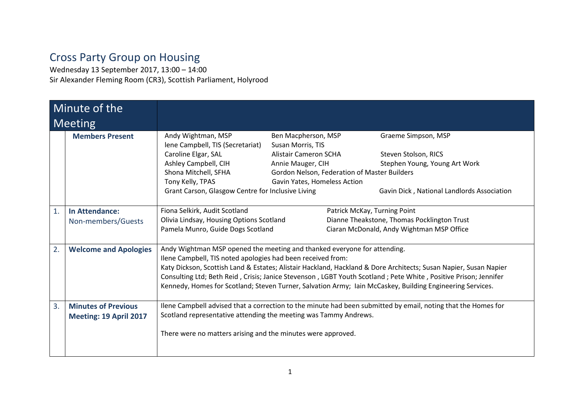## Cross Party Group on Housing

Wednesday 13 September 2017, 13:00 – 14:00 Sir Alexander Fleming Room (CR3), Scottish Parliament, Holyrood

| Minute of the |                                                      |                                                                                                                                                                                                                                                                                                                                                                                                                                                                                             |                                                                                               |                                                                                                                          |
|---------------|------------------------------------------------------|---------------------------------------------------------------------------------------------------------------------------------------------------------------------------------------------------------------------------------------------------------------------------------------------------------------------------------------------------------------------------------------------------------------------------------------------------------------------------------------------|-----------------------------------------------------------------------------------------------|--------------------------------------------------------------------------------------------------------------------------|
| Meeting       |                                                      |                                                                                                                                                                                                                                                                                                                                                                                                                                                                                             |                                                                                               |                                                                                                                          |
|               | <b>Members Present</b>                               | Andy Wightman, MSP<br>lene Campbell, TIS (Secretariat)<br>Caroline Elgar, SAL<br>Ashley Campbell, CIH                                                                                                                                                                                                                                                                                                                                                                                       | Ben Macpherson, MSP<br>Susan Morris, TIS<br><b>Alistair Cameron SCHA</b><br>Annie Mauger, CIH | Graeme Simpson, MSP<br>Steven Stolson, RICS<br>Stephen Young, Young Art Work                                             |
|               |                                                      | Shona Mitchell, SFHA<br>Tony Kelly, TPAS<br>Grant Carson, Glasgow Centre for Inclusive Living                                                                                                                                                                                                                                                                                                                                                                                               | Gavin Yates, Homeless Action                                                                  | Gordon Nelson, Federation of Master Builders<br>Gavin Dick, National Landlords Association                               |
| 1.            | <b>In Attendance:</b><br>Non-members/Guests          | Fiona Selkirk, Audit Scotland<br>Olivia Lindsay, Housing Options Scotland<br>Pamela Munro, Guide Dogs Scotland                                                                                                                                                                                                                                                                                                                                                                              |                                                                                               | Patrick McKay, Turning Point<br>Dianne Theakstone, Thomas Pocklington Trust<br>Ciaran McDonald, Andy Wightman MSP Office |
| 2.            | <b>Welcome and Apologies</b>                         | Andy Wightman MSP opened the meeting and thanked everyone for attending.<br>Ilene Campbell, TIS noted apologies had been received from:<br>Katy Dickson, Scottish Land & Estates; Alistair Hackland, Hackland & Dore Architects; Susan Napier, Susan Napier<br>Consulting Ltd; Beth Reid, Crisis; Janice Stevenson, LGBT Youth Scotland; Pete White, Positive Prison; Jennifer<br>Kennedy, Homes for Scotland; Steven Turner, Salvation Army; Iain McCaskey, Building Engineering Services. |                                                                                               |                                                                                                                          |
| 3.            | <b>Minutes of Previous</b><br>Meeting: 19 April 2017 | Scotland representative attending the meeting was Tammy Andrews.<br>There were no matters arising and the minutes were approved.                                                                                                                                                                                                                                                                                                                                                            |                                                                                               | Ilene Campbell advised that a correction to the minute had been submitted by email, noting that the Homes for            |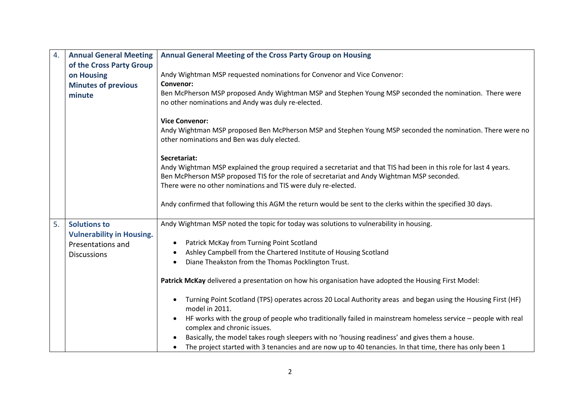| $\overline{4}$ . | <b>Annual General Meeting</b>                           | Annual General Meeting of the Cross Party Group on Housing                                                                                                                                                                                                                       |  |
|------------------|---------------------------------------------------------|----------------------------------------------------------------------------------------------------------------------------------------------------------------------------------------------------------------------------------------------------------------------------------|--|
|                  | of the Cross Party Group                                |                                                                                                                                                                                                                                                                                  |  |
|                  | on Housing                                              | Andy Wightman MSP requested nominations for Convenor and Vice Convenor:                                                                                                                                                                                                          |  |
|                  | <b>Minutes of previous</b>                              | <b>Convenor:</b>                                                                                                                                                                                                                                                                 |  |
|                  | minute                                                  | Ben McPherson MSP proposed Andy Wightman MSP and Stephen Young MSP seconded the nomination. There were<br>no other nominations and Andy was duly re-elected.                                                                                                                     |  |
|                  |                                                         | <b>Vice Convenor:</b>                                                                                                                                                                                                                                                            |  |
|                  |                                                         | Andy Wightman MSP proposed Ben McPherson MSP and Stephen Young MSP seconded the nomination. There were no<br>other nominations and Ben was duly elected.                                                                                                                         |  |
|                  |                                                         | Secretariat:                                                                                                                                                                                                                                                                     |  |
|                  |                                                         | Andy Wightman MSP explained the group required a secretariat and that TIS had been in this role for last 4 years.<br>Ben McPherson MSP proposed TIS for the role of secretariat and Andy Wightman MSP seconded.<br>There were no other nominations and TIS were duly re-elected. |  |
|                  |                                                         | Andy confirmed that following this AGM the return would be sent to the clerks within the specified 30 days.                                                                                                                                                                      |  |
| 5.               | <b>Solutions to</b><br><b>Vulnerability in Housing.</b> | Andy Wightman MSP noted the topic for today was solutions to vulnerability in housing.                                                                                                                                                                                           |  |
|                  | Presentations and                                       | Patrick McKay from Turning Point Scotland<br>$\bullet$                                                                                                                                                                                                                           |  |
|                  | <b>Discussions</b>                                      | Ashley Campbell from the Chartered Institute of Housing Scotland<br>$\bullet$                                                                                                                                                                                                    |  |
|                  |                                                         | Diane Theakston from the Thomas Pocklington Trust.<br>$\bullet$                                                                                                                                                                                                                  |  |
|                  |                                                         | Patrick McKay delivered a presentation on how his organisation have adopted the Housing First Model:                                                                                                                                                                             |  |
|                  |                                                         | Turning Point Scotland (TPS) operates across 20 Local Authority areas and began using the Housing First (HF)<br>$\bullet$<br>model in 2011.                                                                                                                                      |  |
|                  |                                                         | HF works with the group of people who traditionally failed in mainstream homeless service - people with real<br>٠<br>complex and chronic issues.                                                                                                                                 |  |
|                  |                                                         | Basically, the model takes rough sleepers with no 'housing readiness' and gives them a house.                                                                                                                                                                                    |  |
|                  |                                                         | The project started with 3 tenancies and are now up to 40 tenancies. In that time, there has only been 1<br>$\bullet$                                                                                                                                                            |  |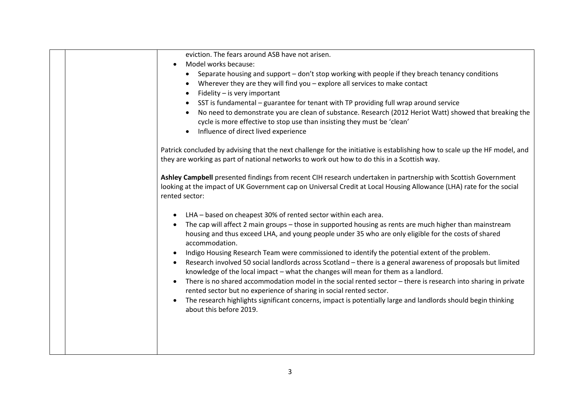| eviction. The fears around ASB have not arisen.                                                                            |
|----------------------------------------------------------------------------------------------------------------------------|
| Model works because:                                                                                                       |
| Separate housing and support - don't stop working with people if they breach tenancy conditions                            |
| Wherever they are they will find you - explore all services to make contact                                                |
| Fidelity - is very important                                                                                               |
| SST is fundamental – guarantee for tenant with TP providing full wrap around service                                       |
| No need to demonstrate you are clean of substance. Research (2012 Heriot Watt) showed that breaking the                    |
| cycle is more effective to stop use than insisting they must be 'clean'                                                    |
| Influence of direct lived experience                                                                                       |
|                                                                                                                            |
| Patrick concluded by advising that the next challenge for the initiative is establishing how to scale up the HF model, and |
| they are working as part of national networks to work out how to do this in a Scottish way.                                |
|                                                                                                                            |
| Ashley Campbell presented findings from recent CIH research undertaken in partnership with Scottish Government             |
| looking at the impact of UK Government cap on Universal Credit at Local Housing Allowance (LHA) rate for the social        |
| rented sector:                                                                                                             |
|                                                                                                                            |
| LHA - based on cheapest 30% of rented sector within each area.                                                             |
| The cap will affect 2 main groups - those in supported housing as rents are much higher than mainstream                    |
| housing and thus exceed LHA, and young people under 35 who are only eligible for the costs of shared                       |
| accommodation.                                                                                                             |
| Indigo Housing Research Team were commissioned to identify the potential extent of the problem.                            |
| Research involved 50 social landlords across Scotland - there is a general awareness of proposals but limited<br>$\bullet$ |
| knowledge of the local impact - what the changes will mean for them as a landlord.                                         |
| There is no shared accommodation model in the social rented sector - there is research into sharing in private             |
| rented sector but no experience of sharing in social rented sector.                                                        |
| The research highlights significant concerns, impact is potentially large and landlords should begin thinking              |
| about this before 2019.                                                                                                    |
|                                                                                                                            |
|                                                                                                                            |
|                                                                                                                            |
|                                                                                                                            |
|                                                                                                                            |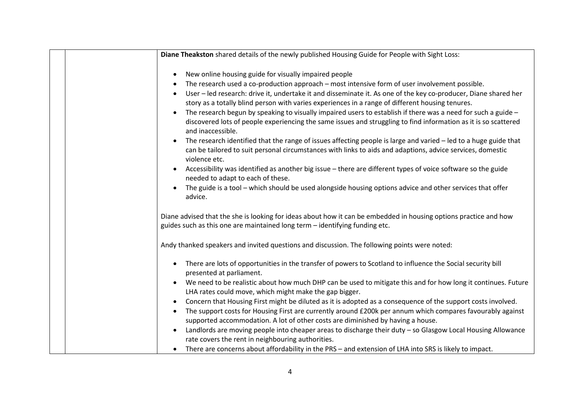| Diane Theakston shared details of the newly published Housing Guide for People with Sight Loss:                                                                                                                                                                                                                                                                                                                                                                                                                                                                                                                                                                                                                                                                                                                                                                                                                                                                                                                                                                                                                                                                         |
|-------------------------------------------------------------------------------------------------------------------------------------------------------------------------------------------------------------------------------------------------------------------------------------------------------------------------------------------------------------------------------------------------------------------------------------------------------------------------------------------------------------------------------------------------------------------------------------------------------------------------------------------------------------------------------------------------------------------------------------------------------------------------------------------------------------------------------------------------------------------------------------------------------------------------------------------------------------------------------------------------------------------------------------------------------------------------------------------------------------------------------------------------------------------------|
| New online housing guide for visually impaired people<br>The research used a co-production approach – most intensive form of user involvement possible.<br>User - led research: drive it, undertake it and disseminate it. As one of the key co-producer, Diane shared her<br>story as a totally blind person with varies experiences in a range of different housing tenures.<br>The research begun by speaking to visually impaired users to establish if there was a need for such a guide -<br>discovered lots of people experiencing the same issues and struggling to find information as it is so scattered<br>and inaccessible.<br>The research identified that the range of issues affecting people is large and varied – led to a huge guide that<br>can be tailored to suit personal circumstances with links to aids and adaptions, advice services, domestic<br>violence etc.<br>Accessibility was identified as another big issue - there are different types of voice software so the guide<br>needed to adapt to each of these.<br>The guide is a tool - which should be used alongside housing options advice and other services that offer<br>advice. |
| Diane advised that the she is looking for ideas about how it can be embedded in housing options practice and how<br>guides such as this one are maintained long term - identifying funding etc.                                                                                                                                                                                                                                                                                                                                                                                                                                                                                                                                                                                                                                                                                                                                                                                                                                                                                                                                                                         |
| Andy thanked speakers and invited questions and discussion. The following points were noted:                                                                                                                                                                                                                                                                                                                                                                                                                                                                                                                                                                                                                                                                                                                                                                                                                                                                                                                                                                                                                                                                            |
| There are lots of opportunities in the transfer of powers to Scotland to influence the Social security bill<br>presented at parliament.<br>We need to be realistic about how much DHP can be used to mitigate this and for how long it continues. Future<br>LHA rates could move, which might make the gap bigger.<br>Concern that Housing First might be diluted as it is adopted as a consequence of the support costs involved.<br>The support costs for Housing First are currently around £200k per annum which compares favourably against<br>supported accommodation. A lot of other costs are diminished by having a house.<br>Landlords are moving people into cheaper areas to discharge their duty - so Glasgow Local Housing Allowance<br>rate covers the rent in neighbouring authorities.<br>There are concerns about affordability in the PRS - and extension of LHA into SRS is likely to impact.                                                                                                                                                                                                                                                       |